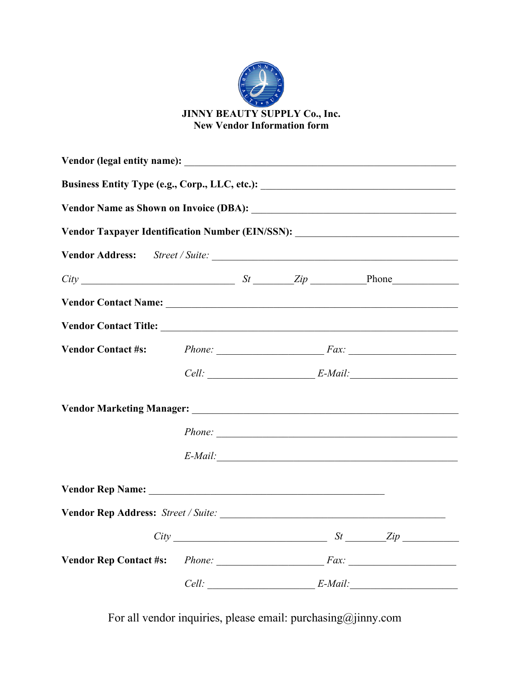

| Business Entity Type (e.g., Corp., LLC, etc.): __________________________________ |       |                                                          |  |                         |  |  |
|-----------------------------------------------------------------------------------|-------|----------------------------------------------------------|--|-------------------------|--|--|
| Vendor Taxpayer Identification Number (EIN/SSN): _______________________________  |       |                                                          |  |                         |  |  |
|                                                                                   |       |                                                          |  |                         |  |  |
| $City$ $City$ $It$ $It$ $Iip$ $Iip$ $Iip$ $Iip$                                   |       |                                                          |  |                         |  |  |
| Vendor Contact Name: Name:                                                        |       |                                                          |  |                         |  |  |
|                                                                                   |       |                                                          |  |                         |  |  |
|                                                                                   |       | Vendor Contact #s: Phone: $P_{\text{hone}}$ Phone: $Fax$ |  |                         |  |  |
|                                                                                   |       |                                                          |  | $Cell:$ E-Mail: E-Mail: |  |  |
|                                                                                   |       |                                                          |  |                         |  |  |
|                                                                                   |       |                                                          |  | Phone:                  |  |  |
|                                                                                   |       |                                                          |  | $E$ -Mail:              |  |  |
|                                                                                   |       |                                                          |  |                         |  |  |
|                                                                                   |       |                                                          |  |                         |  |  |
|                                                                                   |       |                                                          |  | $City$ $St$ $Zip$       |  |  |
| Vendor Rep Contact #s: Phone: Fax: Fax:                                           |       |                                                          |  |                         |  |  |
|                                                                                   | Cell: |                                                          |  | $E$ -Mail:              |  |  |

For all vendor inquiries, please email: purchasing@jinny.com